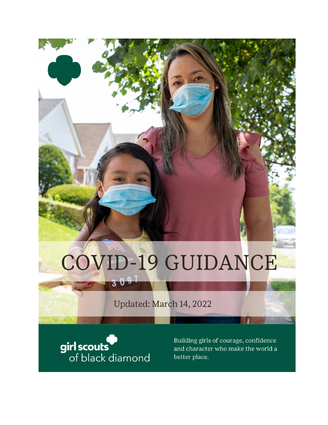# COVID-19 GUIDANCE

# Updated: March 14, 2022



 $30$ 

Building girls of courage, confidence and character who make the world a better place.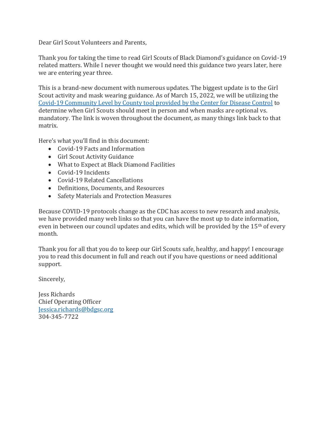Dear Girl Scout Volunteers and Parents,

Thank you for taking the time to read Girl Scouts of Black Diamond's guidance on Covid-19 related matters. While I never thought we would need this guidance two years later, here we are entering year three.

This is a brand-new document with numerous updates. The biggest update is to the Girl Scout activity and mask wearing guidance. As of March 15, 2022, we will be utilizing the [Covid-19 Community Level by County tool provided by the Center for Disease Control](https://www.cdc.gov/coronavirus/2019-ncov/your-health/covid-by-county.html) to determine when Girl Scouts should meet in person and when masks are optional vs. mandatory. The link is woven throughout the document, as many things link back to that matrix.

Here's what you'll find in this document:

- Covid-19 Facts and Information
- Girl Scout Activity Guidance
- What to Expect at Black Diamond Facilities
- Covid-19 Incidents
- Covid-19 Related Cancellations
- Definitions, Documents, and Resources
- Safety Materials and Protection Measures

Because COVID-19 protocols change as the CDC has access to new research and analysis, we have provided many web links so that you can have the most up to date information, even in between our council updates and edits, which will be provided by the 15<sup>th</sup> of every month.

Thank you for all that you do to keep our Girl Scouts safe, healthy, and happy! I encourage you to read this document in full and reach out if you have questions or need additional support.

Sincerely,

Jess Richards Chief Operating Officer [Jessica.richards@bdgsc.org](mailto:Jessica.richards@bdgsc.org) 304-345-7722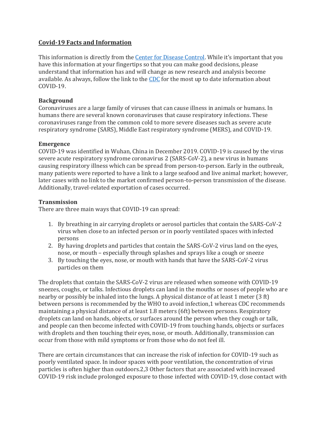### **Covid-19 Facts and Information**

This information is directly from the [Center for Disease Control.](https://www.cdc.gov/coronavirus/2019-nCoV/index.html) While it's important that you have this information at your fingertips so that you can make good decisions, please understand that information has and will change as new research and analysis become available. As always, follow the link to the [CDC](https://www.cdc.gov/coronavirus/2019-nCoV/index.html) for the most up to date information about COVID-19.

#### **Background**

Coronaviruses are a large family of viruses that can cause illness in animals or humans. In humans there are several known coronaviruses that cause respiratory infections. These coronaviruses range from the common cold to more severe diseases such as severe acute respiratory syndrome (SARS), Middle East respiratory syndrome (MERS), and COVID-19.

#### **Emergence**

COVID-19 was identified in Wuhan, China in December 2019. COVID-19 is caused by the virus severe acute respiratory syndrome coronavirus 2 (SARS-CoV-2), a new virus in humans causing respiratory illness which can be spread from person-to-person. Early in the outbreak, many patients were reported to have a link to a large seafood and live animal market; however, later cases with no link to the market confirmed person-to-person transmission of the disease. Additionally, travel-related exportation of cases occurred.

#### **Transmission**

There are three main ways that COVID-19 can spread:

- 1. By breathing in air carrying droplets or aerosol particles that contain the SARS-CoV-2 virus when close to an infected person or in poorly ventilated spaces with infected persons
- 2. By having droplets and particles that contain the SARS-CoV-2 virus land on the eyes, nose, or mouth – especially through splashes and sprays like a cough or sneeze
- 3. By touching the eyes, nose, or mouth with hands that have the SARS-CoV-2 virus particles on them

The droplets that contain the SARS-CoV-2 virus are released when someone with COVID-19 sneezes, coughs, or talks. Infectious droplets can land in the mouths or noses of people who are nearby or possibly be inhaled into the lungs. A physical distance of at least 1 meter (3 ft) between persons is recommended by the WHO to avoid infection,1 whereas CDC recommends maintaining a physical distance of at least 1.8 meters (6ft) between persons. Respiratory droplets can land on hands, objects, or surfaces around the person when they cough or talk, and people can then become infected with COVID-19 from touching hands, objects or surfaces with droplets and then touching their eyes, nose, or mouth. Additionally, transmission can occur from those with mild symptoms or from those who do not feel ill.

There are certain circumstances that can increase the risk of infection for COVID-19 such as poorly ventilated space. In indoor spaces with poor ventilation, the concentration of virus particles is often higher than outdoors.2,3 Other factors that are associated with increased COVID-19 risk include prolonged exposure to those infected with COVID-19, close contact with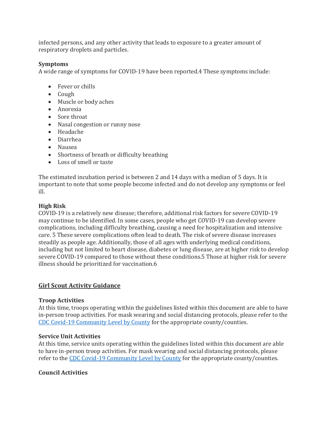infected persons, and any other activity that leads to exposure to a greater amount of respiratory droplets and particles.

### **Symptoms**

A wide range of symptoms for COVID-19 have been reported.4 These symptoms include:

- Fever or chills
- Cough
- Muscle or body aches
- Anorexia
- Sore throat
- Nasal congestion or runny nose
- Headache
- Diarrhea
- Nausea
- Shortness of breath or difficulty breathing
- Loss of smell or taste

The estimated incubation period is between 2 and 14 days with a median of 5 days. It is important to note that some people become infected and do not develop any symptoms or feel ill.

# **High Risk**

COVID-19 is a relatively new disease; therefore, additional risk factors for severe COVID-19 may continue to be identified. In some cases, people who get COVID-19 can develop severe complications, including difficulty breathing, causing a need for hospitalization and intensive care. 5 These severe complications often lead to death. The risk of severe disease increases steadily as people age. Additionally, those of all ages with underlying medical conditions, including but not limited to heart disease, diabetes or lung disease, are at higher risk to develop severe COVID-19 compared to those without these conditions.5 Those at higher risk for severe illness should be prioritized for vaccination.6

# **Girl Scout Activity Guidance**

# **Troop Activities**

At this time, troops operating within the guidelines listed within this document are able to have in-person troop activities. For mask wearing and social distancing protocols, please refer to the [CDC Covid-19 Community Level by County](https://www.cdc.gov/coronavirus/2019-ncov/your-health/covid-by-county.html) for the appropriate county/counties.

# **Service Unit Activities**

At this time, service units operating within the guidelines listed within this document are able to have in-person troop activities. For mask wearing and social distancing protocols, please refer to the [CDC Covid-19 Community Level by County](https://www.cdc.gov/coronavirus/2019-ncov/your-health/covid-by-county.html) for the appropriate county/counties.

# **Council Activities**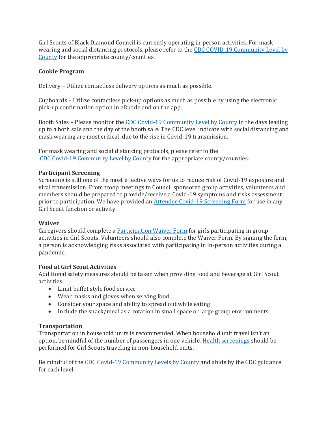Girl Scouts of Black Diamond Council is currently operating in-person activities. For mask wearing and social distancing protocols, please refer to the [CDC COVID-19 Community Level by](https://www.cdc.gov/coronavirus/2019-ncov/your-health/covid-by-county.html)  [County](https://www.cdc.gov/coronavirus/2019-ncov/your-health/covid-by-county.html) for the appropriate county/counties.

#### **Cookie Program**

Delivery – Utilize contactless delivery options as much as possible.

Cupboards – Utilize contactless pick-up options as much as possible by using the electronic pick-up confirmation option in eBudde and on the app.

Booth Sales – Please monitor th[e CDC Covid-19 Community Level by County](https://www.cdc.gov/coronavirus/2019-ncov/your-health/covid-by-county.html) in the days leading up to a both sale and the day of the booth sale. The CDC level indicate with social distancing and mask wearing are most critical, due to the rise in Covid-19 transmission.

For mask wearing and social distancing protocols, please refer to the [CDC Covid-19 Community Level by County](https://www.cdc.gov/coronavirus/2019-ncov/your-health/covid-by-county.html) for the appropriate county/counties.

#### **Participant Screening**

Screening is still one of the most effective ways for us to reduce risk of Covid-19 exposure and viral transmission. From troop meetings to Council sponsored group activities, volunteers and members should be prepared to provide/receive a Covid-19 symptoms and risks assessment prior to participation. We have provided an [Attendee Covid-19 Screening Form](https://www.bdgsc.org/content/dam/girlscouts-bdgsc/documents/Troop%20Resources/GSBDC%20COVID-19%20Screening%20Questions.pdf) for use in any Girl Scout function or activity.

#### **Waiver**

Caregivers should complete a [Participation Waiver Form](https://www.bdgsc.org/content/dam/girlscouts-bdgsc/documents/Troop%20Resources/GSBDC%20COVID-19%20Waiver.pdf) for girls participating in group activities in Girl Scouts. Volunteers should also complete the Waiver Form. By signing the form, a person is acknowledging risks associated with participating in in-person activities during a pandemic.

#### **Food at Girl Scout Activities**

Additional safety measures should be taken when providing food and beverage at Girl Scout activities.

- Limit buffet style food service
- Wear masks and gloves when serving food
- Consider your space and ability to spread out while eating
- Include the snack/meal as a rotation in small space or large group environments

# **Transportation**

Transportation in household units is recommended. When household unit travel isn't an option, be mindful of the number of passengers in one vehicle. [Health screenings](https://www.bdgsc.org/content/dam/girlscouts-bdgsc/documents/Troop%20Resources/GSBDC%20COVID-19%20Screening%20Questions.pdf) should be performed for Girl Scouts traveling in non-household units.

Be mindful of th[e CDC Covid-19 Community Levels by County](https://www.cdc.gov/coronavirus/2019-ncov/your-health/covid-by-county.html) and abide by the CDC guidance for each level.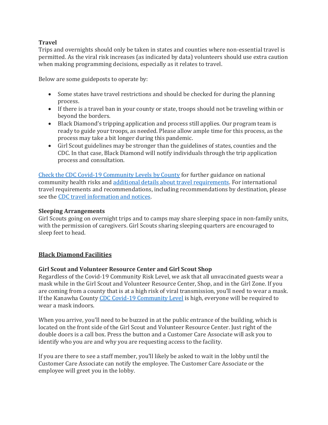# **Travel**

Trips and overnights should only be taken in states and counties where non-essential travel is permitted. As the viral risk increases (as indicated by data) volunteers should use extra caution when making programming decisions, especially as it relates to travel.

Below are some guideposts to operate by:

- Some states have travel restrictions and should be checked for during the planning process.
- If there is a travel ban in your county or state, troops should not be traveling within or beyond the borders.
- Black Diamond's tripping application and process still applies. Our program team is ready to guide your troops, as needed. Please allow ample time for this process, as the process may take a bit longer during this pandemic.
- Girl Scout guidelines may be stronger than the guidelines of states, counties and the CDC. In that case, Black Diamond will notify individuals through the trip application process and consultation.

[Check the CDC Covid-19 Community Levels by County](https://www.cdc.gov/coronavirus/2019-ncov/your-health/covid-by-county.html) for further guidance on national community health risks and [additional details about travel requirements.](https://www.cdc.gov/coronavirus/2019-ncov/travelers/index.html) For international travel requirements and recommendations, including recommendations by destination, please see the [CDC travel information and notices.](https://www.cdc.gov/coronavirus/2019-ncov/travelers/map-and-travel-notices.html)

### **Sleeping Arrangements**

Girl Scouts going on overnight trips and to camps may share sleeping space in non-family units, with the permission of caregivers. Girl Scouts sharing sleeping quarters are encouraged to sleep feet to head.

# **Black Diamond Facilities**

# **Girl Scout and Volunteer Resource Center and Girl Scout Shop**

Regardless of the Covid-19 Community Risk Level, we ask that all unvaccinated guests wear a mask while in the Girl Scout and Volunteer Resource Center, Shop, and in the Girl Zone. If you are coming from a county that is at a high risk of viral transmission, you'll need to wear a mask. If the Kanawha County [CDC Covid-19 Community Level](https://www.cdc.gov/coronavirus/2019-ncov/your-health/covid-by-county.html) is high, everyone will be required to wear a mask indoors.

When you arrive, you'll need to be buzzed in at the public entrance of the building, which is located on the front side of the Girl Scout and Volunteer Resource Center. Just right of the double doors is a call box. Press the button and a Customer Care Associate will ask you to identify who you are and why you are requesting access to the facility.

If you are there to see a staff member, you'll likely be asked to wait in the lobby until the Customer Care Associate can notify the employee. The Customer Care Associate or the employee will greet you in the lobby.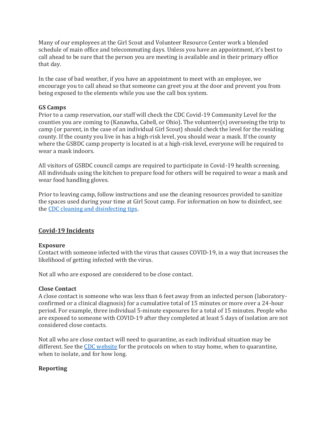Many of our employees at the Girl Scout and Volunteer Resource Center work a blended schedule of main office and telecommuting days. Unless you have an appointment, it's best to call ahead to be sure that the person you are meeting is available and in their primary office that day.

In the case of bad weather, if you have an appointment to meet with an employee, we encourage you to call ahead so that someone can greet you at the door and prevent you from being exposed to the elements while you use the call box system.

#### **GS Camps**

Prior to a camp reservation, our staff will check the CDC Covid-19 Community Level for the counties you are coming to (Kanawha, Cabell, or Ohio). The volunteer(s) overseeing the trip to camp (or parent, in the case of an individual Girl Scout) should check the level for the residing county. If the county you live in has a high-risk level, you should wear a mask. If the county where the GSBDC camp property is located is at a high-risk level, everyone will be required to wear a mask indoors.

All visitors of GSBDC council camps are required to participate in Covid-19 health screening. All individuals using the kitchen to prepare food for others will be required to wear a mask and wear food handling gloves.

Prior to leaving camp, follow instructions and use the cleaning resources provided to sanitize the spaces used during your time at Girl Scout camp. For information on how to disinfect, see the [CDC cleaning and disinfecting tips.](https://www.cdc.gov/coronavirus/2019-ncov/prevent-getting-sick/disinfecting-your-home.html)

# **Covid-19 Incidents**

# **Exposure**

Contact with someone infected with the virus that causes COVID-19, in a way that increases the likelihood of getting infected with the virus.

Not all who are exposed are considered to be close contact.

#### **Close Contact**

A close contact is someone who was less than 6 feet away from an infected person (laboratoryconfirmed or a clinical diagnosis) for a cumulative total of 15 minutes or more over a 24-hour period. For example, three individual 5-minute exposures for a total of 15 minutes. People who are exposed to someone with COVID-19 after they completed at least 5 days of isolation are not considered close contacts.

Not all who are close contact will need to quarantine, as each individual situation may be different. See the [CDC website](https://www.cdc.gov/coronavirus/2019-ncov/your-health/quarantine-isolation.html#isolate) for the protocols on when to stay home, when to quarantine, when to isolate, and for how long.

# **Reporting**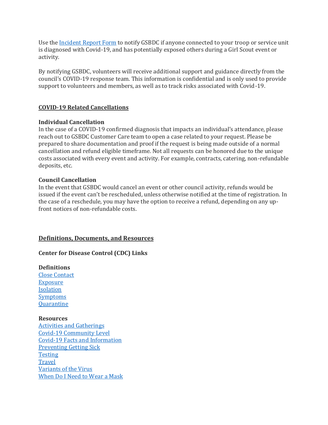Use the [Incident Report Form](https://app.smartsheet.com/b/form/a1da9f7a23204b159d7a256e73aa1151) to notify GSBDC if anyone connected to your troop or service unit is diagnosed with Covid-19, and has potentially exposed others during a Girl Scout event or activity.

By notifying GSBDC, volunteers will receive additional support and guidance directly from the council's COVID-19 response team. This information is confidential and is only used to provide support to volunteers and members, as well as to track risks associated with Covid-19.

# **COVID-19 Related Cancellations**

#### **Individual Cancellation**

In the case of a COVID-19 confirmed diagnosis that impacts an individual's attendance, please reach out to GSBDC Customer Care team to open a case related to your request. Please be prepared to share documentation and proof if the request is being made outside of a normal cancellation and refund eligible timeframe. Not all requests can be honored due to the unique costs associated with every event and activity. For example, contracts, catering, non-refundable deposits, etc.

#### **Council Cancellation**

In the event that GSBDC would cancel an event or other council activity, refunds would be issued if the event can't be rescheduled, unless otherwise notified at the time of registration. In the case of a reschedule, you may have the option to receive a refund, depending on any upfront notices of non-refundable costs.

#### **Definitions, Documents, and Resources**

#### **Center for Disease Control (CDC) Links**

**Definitions** [Close Contact](https://www.cdc.gov/coronavirus/2019-ncov/your-health/quarantine-isolation.html#isolate) [Exposure](https://www.cdc.gov/coronavirus/2019-ncov/your-health/quarantine-isolation.html#isolate) [Isolation](https://www.cdc.gov/coronavirus/2019-ncov/your-health/quarantine-isolation.html#isolate) [Symptoms](https://www.cdc.gov/coronavirus/2019-ncov/symptoms-testing/symptoms.html) **[Quarantine](https://www.cdc.gov/coronavirus/2019-ncov/your-health/quarantine-isolation.html#quarantine)** 

**Resources** [Activities and Gatherings](https://www.cdc.gov/coronavirus/2019-ncov/your-health/gatherings.html) [Covid-19 Community Level](https://www.cdc.gov/coronavirus/2019-ncov/your-health/covid-by-county.html) [Covid-19 Facts and Information](https://www.cdc.gov/coronavirus/2019-ncov/hcp/non-us-settings/overview/index.html) [Preventing Getting Sick](https://www.cdc.gov/coronavirus/2019-ncov/prevent-getting-sick/index.html) **[Testing](https://www.cdc.gov/coronavirus/2019-ncov/testing/index.html) [Travel](https://www.cdc.gov/coronavirus/2019-ncov/travelers/index.html)** [Variants of the Virus](https://www.cdc.gov/coronavirus/2019-ncov/variants/index.html) [When Do I Need to Wear a Mask](https://www.cdc.gov/coronavirus/2019-ncov/your-health/covid-by-county.html)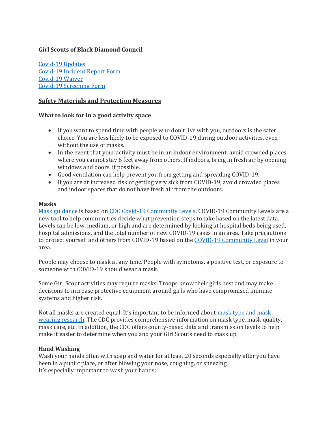# **Girl Scouts of Black Diamond Council**

[Covid-19 Updates](https://www.bdgsc.org/en/about-girl-scouts/covid19updates.html) [Covid-19 Incident Report Form](https://app.smartsheet.com/b/form/a1da9f7a23204b159d7a256e73aa1151) [Covid-19 Waiver](https://www.bdgsc.org/content/dam/girlscouts-bdgsc/documents/Troop%20Resources/GSBDC%20COVID-19%20Waiver.pdf) [Covid-19 Screening Form](https://www.bdgsc.org/content/dam/girlscouts-bdgsc/documents/Troop%20Resources/GSBDC%20COVID-19%20Screening%20Questions.pdf)

### **Safety Materials and Protection Measures**

#### **What to look for in a good activity space**

- If you want to spend time with people who don't live with you, outdoors is the safer choice. You are less likely to be exposed to COVID-19 during outdoor activities, even without the use of masks.
- In the event that your activity must be in an indoor environment, avoid crowded places where you cannot stay 6 feet away from others. If indoors, bring in fresh air by opening windows and doors, if possible.
- Good ventilation can help prevent you from getting and spreading COVID-19.
- If you are at increased risk of getting very sick from COVID-19, avoid crowded places and indoor spaces that do not have fresh air from the outdoors.

#### **Masks**

[Mask guidance](https://www.cdc.gov/coronavirus/2019-ncov/prevent-getting-sick/about-face-coverings.html) is based on [CDC Covid-19 Community Levels.](https://www.cdc.gov/coronavirus/2019-ncov/your-health/covid-by-county.html) COVID-19 Community Levels are a new tool to help communities decide what prevention steps to take based on the latest data. Levels can be low, medium, or high and are determined by looking at hospital beds being used, hospital admissions, and the total number of new COVID-19 cases in an area. Take precautions to protect yourself and others from COVID-19 based on the [COVID-19 Community Level](https://www.cdc.gov/coronavirus/2019-ncov/your-health/covid-by-county.html) in your area.

People may choose to mask at any time. People with symptoms, a positive test, or exposure to someone with COVID-19 should wear a mask.

Some Girl Scout activities may require masks. Troops know their girls best and may make decisions to increase protective equipment around girls who have compromised immune systems and higher risk.

Not all masks are created equal. It's important to be informed about [mask type and mask](https://www.cdc.gov/coronavirus/2019-ncov/prevent-getting-sick/types-of-masks.html)  [wearing research.](https://www.cdc.gov/coronavirus/2019-ncov/prevent-getting-sick/types-of-masks.html) The CDC provides comprehensive information on mask type, mask quality, mask care, etc. In addition, the CDC offers county-based data and transmission levels to help make it easier to determine when you and your Girl Scouts need to mask up.

#### **Hand Washing**

Wash your hands often with soap and water for at least 20 seconds especially after you have been in a public place, or after blowing your nose, coughing, or sneezing. It's especially important to wash your hands: